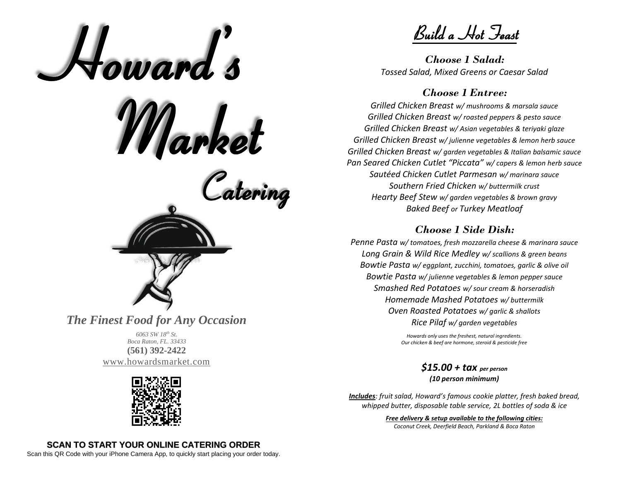

*Boca Raton, FL. 33433* **(561) 392-2422** [www.howardsmarket.com](http://www.howardsmarket.com/)



Build a Hot Feast

*Choose 1 Salad: Tossed Salad, Mixed Greens or Caesar Salad*

#### *Choose 1 Entree:*

*Grilled Chicken Breast w/ mushrooms & marsala sauce Grilled Chicken Breast w/ roasted peppers & pesto sauce Grilled Chicken Breast w/ Asian vegetables & teriyaki glaze Grilled Chicken Breast w/ julienne vegetables & lemon herb sauce Grilled Chicken Breast w/ garden vegetables & Italian balsamic sauce Pan Seared Chicken Cutlet "Piccata" w/ capers & lemon herb sauce Sautéed Chicken Cutlet Parmesan w/ marinara sauce Southern Fried Chicken w/ buttermilk crust Hearty Beef Stew w/ garden vegetables & brown gravy Baked Beef or Turkey Meatloaf*

#### *Choose 1 Side Dish:*

*Penne Pasta w/ tomatoes, fresh mozzarella cheese & marinara sauce Long Grain & Wild Rice Medley w/ scallions & green beans Bowtie Pasta w/ eggplant, zucchini, tomatoes, garlic & olive oil Bowtie Pasta w/ julienne vegetables & lemon pepper sauce Smashed Red Potatoes w/ sour cream & horseradish Homemade Mashed Potatoes w/ buttermilk Oven Roasted Potatoes w/ garlic & shallots Rice Pilaf w/ garden vegetables*

> *Howards only uses the freshest, natural ingredients. Our chicken & beef are hormone, steroid & pesticide free*

> > *\$15.00 + tax per person (10 person minimum)*

*Includes: fruit salad, Howard's famous cookie platter, fresh baked bread, whipped butter, disposable table service, 2L bottles of soda & ice*

#### *Free delivery & setup available to the following cities:*

*Coconut Creek, Deerfield Beach, Parkland & Boca Raton*

#### **SCAN TO START YOUR ONLINE CATERING ORDER**

Scan this QR Code with your iPhone Camera App, to quickly start placing your order today.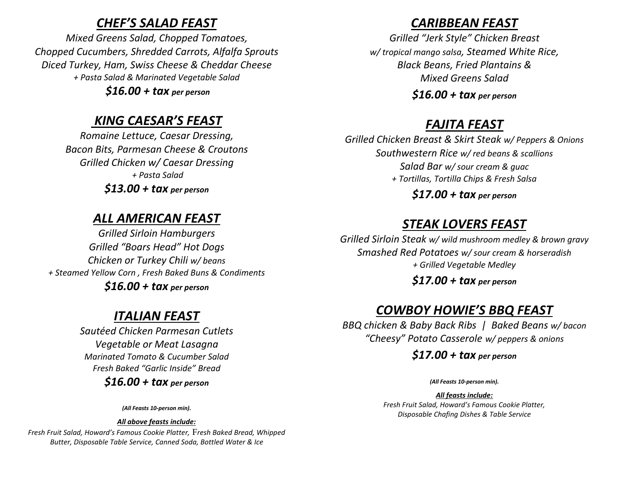### *CHEF'S SALAD FEAST*

*Mixed Greens Salad, Chopped Tomatoes, Chopped Cucumbers, Shredded Carrots, Alfalfa Sprouts Diced Turkey, Ham, Swiss Cheese & Cheddar Cheese + Pasta Salad & Marinated Vegetable Salad*

*\$16.00 + tax per person*

# *KING CAESAR'S FEAST*

*Romaine Lettuce, Caesar Dressing, Bacon Bits, Parmesan Cheese & Croutons Grilled Chicken w/ Caesar Dressing + Pasta Salad*

*\$13.00 + tax per person*

# *ALL AMERICAN FEAST*

*Grilled Sirloin Hamburgers Grilled "Boars Head" Hot Dogs Chicken or Turkey Chili w/ beans + Steamed Yellow Corn , Fresh Baked Buns & Condiments \$16.00 + tax per person*

# *ITALIAN FEAST*

*Sautéed Chicken Parmesan Cutlets Vegetable or Meat Lasagna Marinated Tomato & Cucumber Salad Fresh Baked "Garlic Inside" Bread*

*\$16.00 + tax per person*

*(All Feasts 10-person min).*

*All above feasts include:*

*Fresh Fruit Salad, Howard's Famous Cookie Platter,* F*resh Baked Bread, Whipped Butter, Disposable Table Service, Canned Soda, Bottled Water & Ice*

# *CARIBBEAN FEAST*

*Grilled "Jerk Style" Chicken Breast w/ tropical mango salsa, Steamed White Rice, Black Beans, Fried Plantains & Mixed Greens Salad*

*\$16.00 + tax per person*

# *FAJITA FEAST*

*Grilled Chicken Breast & Skirt Steak w/ Peppers & Onions Southwestern Rice w/ red beans & scallions Salad Bar w/ sour cream & guac + Tortillas, Tortilla Chips & Fresh Salsa*

*\$17.00 + tax per person*

# *STEAK LOVERS FEAST*

*Grilled Sirloin Steak w/ wild mushroom medley & brown gravy Smashed Red Potatoes w/ sour cream & horseradish + Grilled Vegetable Medley*

*\$17.00 + tax per person*

# *COWBOY HOWIE'S BBQ FEAST*

*BBQ chicken & Baby Back Ribs | Baked Beans w/ bacon "Cheesy" Potato Casserole w/ peppers & onions*

*\$17.00 + tax per person*

*(All Feasts 10-person min).*

*All feasts include: Fresh Fruit Salad, Howard's Famous Cookie Platter, Disposable Chafing Dishes & Table Service*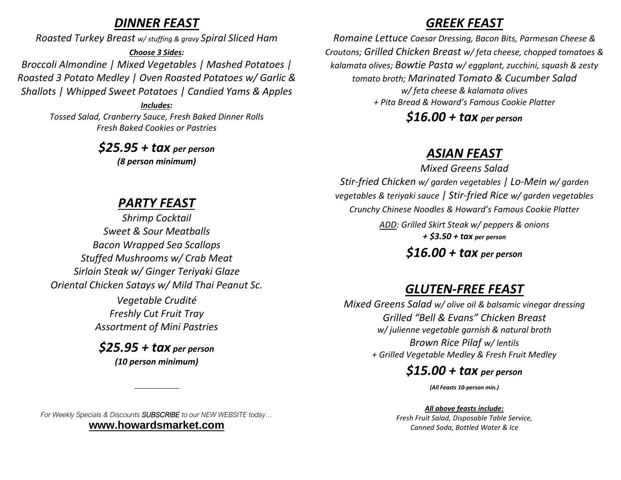### *DINNER FEAST*

*Roasted Turkey Breast w/ stuffing & gravy Spiral Sliced Ham* 

#### *Choose 3 Sides:*

*Broccoli Almondine | Mixed Vegetables | Mashed Potatoes | Roasted 3 Potato Medley | Oven Roasted Potatoes w/ Garlic & Shallots | Whipped Sweet Potatoes | Candied Yams & Apples* 

> *Includes: Tossed Salad, Cranberry Sauce, Fresh Baked Dinner Rolls Fresh Baked Cookies or Pastries*

> > *\$25.95 + tax per person (8 person minimum)*

## *PARTY FEAST*

*Shrimp Cocktail Sweet & Sour Meatballs Bacon Wrapped Sea Scallops Stuffed Mushrooms w/ Crab Meat Sirloin Steak w/ Ginger Teriyaki Glaze Oriental Chicken Satays w/ Mild Thai Peanut Sc.*

> *Vegetable Crudité Freshly Cut Fruit Tray Assortment of Mini Pastries*

#### *\$25.95 + tax per person (10 person minimum)*

*For Weekly Specials & Discounts SUBSCRIBE to our NEW WEBSITE today…* **[www.howardsmarket.com](http://www.howardsmarket.com/)**

## *GREEK FEAST*

*Romaine Lettuce Caesar Dressing, Bacon Bits, Parmesan Cheese & Croutons; Grilled Chicken Breast w/ feta cheese, chopped tomatoes & kalamata olives; Bowtie Pasta w/ eggplant, zucchini, squash & zesty tomato broth; Marinated Tomato & Cucumber Salad w/ feta cheese & kalamata olives + Pita Bread & Howard's Famous Cookie Platter*

*\$16.00 + tax per person*

## *ASIAN FEAST*

*Mixed Greens Salad Stir-fried Chicken w/ garden vegetables | Lo-Mein w/ garden vegetables & teriyaki sauce | Stir-fried Rice w/ garden vegetables Crunchy Chinese Noodles & Howard's Famous Cookie Platter ADD: Grilled Skirt Steak w/ peppers & onions + \$3.50 + tax per person*

### *\$16.00 + tax per person*

### *GLUTEN-FREE FEAST*

*Mixed Greens Salad w/ olive oil & balsamic vinegar dressing Grilled "Bell & Evans" Chicken Breast w/ julienne vegetable garnish & natural broth Brown Rice Pilaf w/ lentils + Grilled Vegetable Medley & Fresh Fruit Medley* 

### *\$15.00 + tax per person*

*(All Feasts 10-person min.)*

#### *All above feasts include:*

*Fresh Fruit Salad, Disposable Table Service, Canned Soda, Bottled Water & Ice*